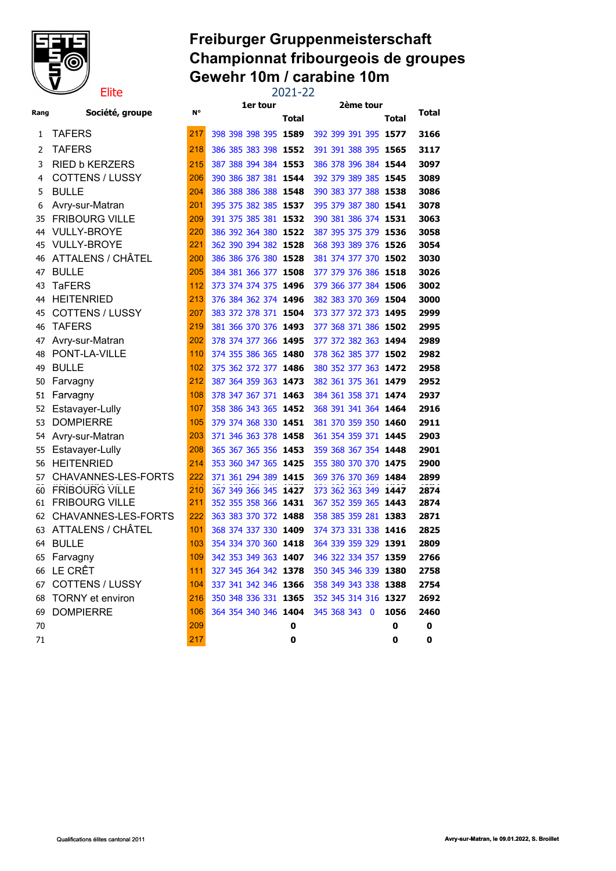

### Freiburger Gruppenmeisterschaft Championnat fribourgeois de groupes Gewehr 10m / carabine 10m Elite 2021-22

|      |                          |     | 1er tour             |       | 2ème tour                                 |       |       |
|------|--------------------------|-----|----------------------|-------|-------------------------------------------|-------|-------|
| Rang | Société, groupe          | N°  |                      | Total |                                           | Total | Total |
| 1    | <b>TAFERS</b>            | 217 | 398 398 398 395 1589 |       | 392 399 391 395 1577                      |       | 3166  |
| 2    | <b>TAFERS</b>            | 218 | 386 385 383 398 1552 |       | 391 391 388 395 1565                      |       | 3117  |
| 3    | <b>RIED b KERZERS</b>    | 215 | 387 388 394 384 1553 |       | 386 378 396 384 1544                      |       | 3097  |
| 4    | <b>COTTENS / LUSSY</b>   | 206 | 390 386 387 381 1544 |       | 392 379 389 385 1545                      |       | 3089  |
| 5    | <b>BULLE</b>             | 204 | 386 388 386 388 1548 |       | 390 383 377 388 1538                      |       | 3086  |
| 6    | Avry-sur-Matran          | 201 | 395 375 382 385 1537 |       | 395 379 387 380 1541                      |       | 3078  |
| 35   | <b>FRIBOURG VILLE</b>    | 209 | 391 375 385 381 1532 |       | 390 381 386 374 1531                      |       | 3063  |
| 44   | <b>VULLY-BROYE</b>       | 220 | 386 392 364 380 1522 |       | 387 395 375 379 1536                      |       | 3058  |
| 45   | <b>VULLY-BROYE</b>       | 221 | 362 390 394 382 1528 |       | 368 393 389 376 1526                      |       | 3054  |
| 46   | ATTALENS / CHÂTEL        | 200 | 386 386 376 380 1528 |       | 381 374 377 370 1 <b>502</b>              |       | 3030  |
| 47   | <b>BULLE</b>             | 205 | 384 381 366 377 1508 |       | 377 379 376 386 1518                      |       | 3026  |
| 43   | <b>TaFERS</b>            | 112 | 373 374 374 375 1496 |       | 379 366 377 384 1506                      |       | 3002  |
| 44   | <b>HEITENRIED</b>        | 213 | 376 384 362 374 1496 |       | 382 383 370 369 1504                      |       | 3000  |
| 45   | <b>COTTENS / LUSSY</b>   | 207 | 383 372 378 371 1504 |       | 373 377 372 373 1495                      |       | 2999  |
| 46   | <b>TAFERS</b>            | 219 | 381 366 370 376 1493 |       | 377 368 371 386 1 <b>502</b>              |       | 2995  |
| 47   | Avry-sur-Matran          | 202 | 378 374 377 366 1495 |       | 377 372 382 363 1494                      |       | 2989  |
| 48   | PONT-LA-VILLE            | 110 | 374 355 386 365 1480 |       | 378 362 385 377 1502                      |       | 2982  |
| 49   | <b>BULLE</b>             | 102 | 375 362 372 377 1486 |       | 380 352 377 363 1472                      |       | 2958  |
| 50   | Farvagny                 | 212 | 387 364 359 363 1473 |       | 382 361 375 361 1479                      |       | 2952  |
| 51   | Farvagny                 | 108 | 378 347 367 371 1463 |       | 384 361 358 371 <b>1474</b>               |       | 2937  |
| 52   | Estavayer-Lully          | 107 | 358 386 343 365 1452 |       | 368 391 341 364 1464                      |       | 2916  |
| 53   | <b>DOMPIERRE</b>         | 105 | 379 374 368 330 1451 |       | 381 370 359 350 1460                      |       | 2911  |
| 54   | Avry-sur-Matran          | 203 | 371 346 363 378 1458 |       | 361 354 359 371 1445                      |       | 2903  |
| 55   | Estavayer-Lully          | 208 | 365 367 365 356 1453 |       | 359 368 367 354 1448                      |       | 2901  |
| 56   | <b>HEITENRIED</b>        | 214 | 353 360 347 365 1425 |       | 355 380 370 370 1475                      |       | 2900  |
| 57   | CHAVANNES-LES-FORTS      | 222 | 371 361 294 389 1415 |       | 369 376 370 369 1484                      |       | 2899  |
| 60   | <b>FRIBOURG VILLE</b>    | 210 | 367 349 366 345 1427 |       | 373 362 363 349 1447                      |       | 2874  |
| 61   | <b>FRIBOURG VILLE</b>    | 211 | 352 355 358 366 1431 |       | 367 352 359 365 1443                      |       | 2874  |
| 62   | CHAVANNES-LES-FORTS      | 222 | 363 383 370 372 1488 |       | 358 385 359 281 1383                      |       | 2871  |
| 63   | <b>ATTALENS / CHÂTEL</b> | 101 | 368 374 337 330 1409 |       | 374 373 331 338 1416                      |       | 2825  |
| 64   | <b>BULLE</b>             | 103 | 354 334 370 360 1418 |       | 364 339 359 329 1391                      |       | 2809  |
| 65   | Farvagny                 | 109 | 342 353 349 363 1407 |       | 346 322 334 357 1359                      |       | 2766  |
|      | 66 LE CRÊT               | 111 | 327 345 364 342 1378 |       | 350 345 346 339 1380                      |       | 2758  |
|      | 67 COTTENS / LUSSY       | 104 |                      |       | 337 341 342 346 1366 358 349 343 338 1388 |       | 2754  |
|      | 68 TORNY et environ      | 216 |                      |       | 350 348 336 331 1365 352 345 314 316 1327 |       | 2692  |
| 69   | <b>DOMPIERRE</b>         | 106 | 364 354 340 346 1404 |       | 345 368 343 0                             | 1056  | 2460  |
| 70   |                          | 209 |                      | 0     |                                           | 0     | 0     |
| 71   |                          | 217 |                      | 0     |                                           | 0     | 0     |